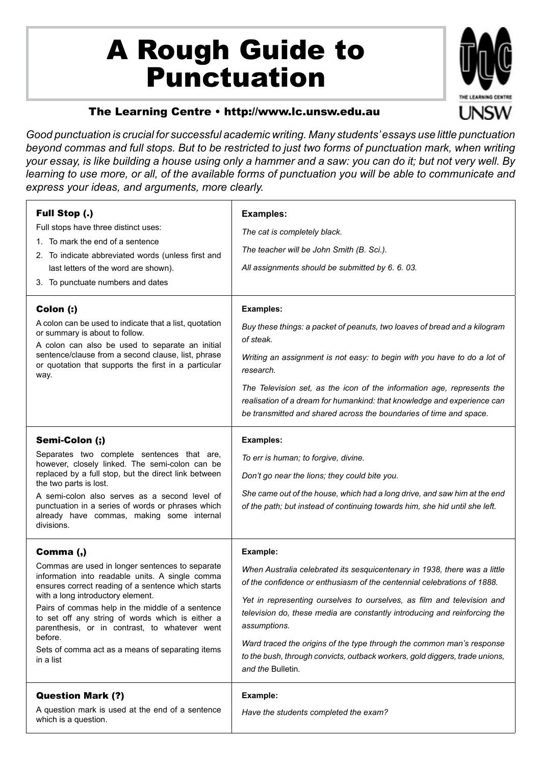## A Rough Guide to Punctuation



## The Learning Centre • http://www.lc.unsw.edu.au

*Good punctuation is crucial for successful academic writing. Many students' essays use little punctuation beyond commas and full stops. But to be restricted to just two forms of punctuation mark, when writing your essay, is like building a house using only a hammer and a saw: you can do it; but not very well. By learning to use more, or all, of the available forms of punctuation you will be able to communicate and express your ideas, and arguments, more clearly.*

| <b>Full Stop (.)</b><br>Full stops have three distinct uses:<br>1. To mark the end of a sentence<br>2. To indicate abbreviated words (unless first and<br>last letters of the word are shown).<br>3. To punctuate numbers and dates                                                                                                                                                                                                             | <b>Examples:</b><br>The cat is completely black.<br>The teacher will be John Smith (B. Sci.).<br>All assignments should be submitted by 6. 6. 03.                                                                                                                                                                                                                                                                                                                                                                    |
|-------------------------------------------------------------------------------------------------------------------------------------------------------------------------------------------------------------------------------------------------------------------------------------------------------------------------------------------------------------------------------------------------------------------------------------------------|----------------------------------------------------------------------------------------------------------------------------------------------------------------------------------------------------------------------------------------------------------------------------------------------------------------------------------------------------------------------------------------------------------------------------------------------------------------------------------------------------------------------|
| Colon (:)<br>A colon can be used to indicate that a list, quotation<br>or summary is about to follow.<br>A colon can also be used to separate an initial<br>sentence/clause from a second clause, list, phrase<br>or quotation that supports the first in a particular<br>way.                                                                                                                                                                  | <b>Examples:</b><br>Buy these things: a packet of peanuts, two loaves of bread and a kilogram<br>of steak.<br>Writing an assignment is not easy: to begin with you have to do a lot of<br>research.<br>The Television set, as the icon of the information age, represents the<br>realisation of a dream for humankind: that knowledge and experience can<br>be transmitted and shared across the boundaries of time and space.                                                                                       |
| Semi-Colon (;)<br>Separates two complete sentences that are,<br>however, closely linked. The semi-colon can be<br>replaced by a full stop, but the direct link between<br>the two parts is lost.<br>A semi-colon also serves as a second level of<br>punctuation in a series of words or phrases which<br>already have commas, making some internal<br>divisions.                                                                               | <b>Examples:</b><br>To err is human; to forgive, divine.<br>Don't go near the lions; they could bite you.<br>She came out of the house, which had a long drive, and saw him at the end<br>of the path; but instead of continuing towards him, she hid until she left.                                                                                                                                                                                                                                                |
| Comma (,)<br>Commas are used in longer sentences to separate<br>information into readable units. A single comma<br>ensures correct reading of a sentence which starts<br>with a long introductory element.<br>Pairs of commas help in the middle of a sentence<br>to set off any string of words which is either a<br>parenthesis, or in contrast, to whatever went<br>before.<br>Sets of comma act as a means of separating items<br>in a list | Example:<br>When Australia celebrated its sesquicentenary in 1938, there was a little<br>of the confidence or enthusiasm of the centennial celebrations of 1888.<br>Yet in representing ourselves to ourselves, as film and television and<br>television do, these media are constantly introducing and reinforcing the<br>assumptions.<br>Ward traced the origins of the type through the common man's response<br>to the bush, through convicts, outback workers, gold diggers, trade unions,<br>and the Bulletin. |
| <b>Question Mark (?)</b><br>A question mark is used at the end of a sentence<br>which is a question.                                                                                                                                                                                                                                                                                                                                            | Example:<br>Have the students completed the exam?                                                                                                                                                                                                                                                                                                                                                                                                                                                                    |